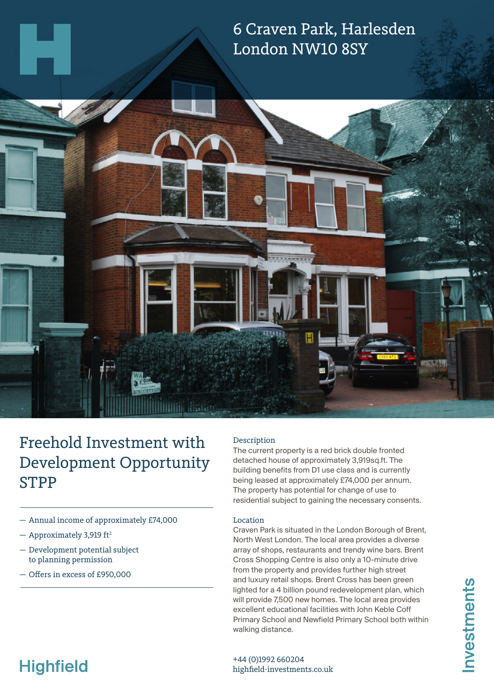

# Freehold Investment with Development Opportunity STPP

- Annual income of approximately £74,000
- $-$  Approximately 3,919 ft<sup>2</sup>
- Development potential subject to planning permission
- Offers in excess of £950,000

# Description

The current property is a red brick double fronted detached house of approximately 3,919sq.ft. The building benefits from D1 use class and is currently being leased at approximately £74,000 per annum. The property has potential for change of use to residential subject to gaining the necessary consents.

## Location

Craven Park is situated in the London Borough of Brent, North West London. The local area provides a diverse array of shops, restaurants and trendy wine bars. Brent Cross Shopping Centre is also only a 10-minute drive from the property and provides further high street and luxury retail shops. Brent Cross has been green lighted for a 4 billion pound redevelopment plan, which will provide 7,500 new homes. The local area provides excellent educational facilities with John Keble Coff Primary School and Newfield Primary School both within walking distance.

# **Highfield**

+44 (0)1992 660204 highfield-investments.co.uk